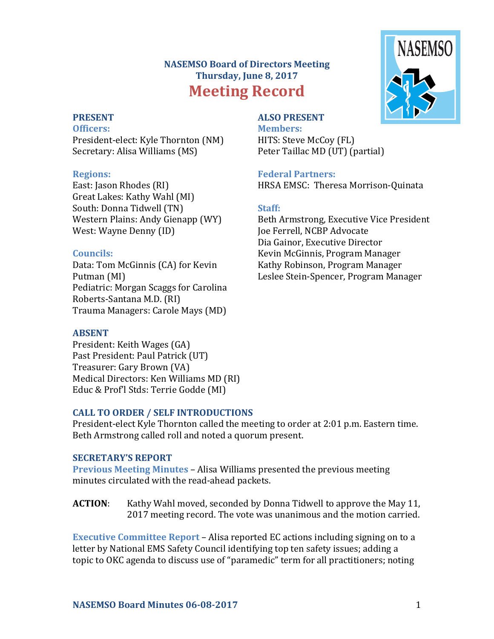# **NASEMSO Board of Directors Meeting Thursday, June 8, 2017 Meeting Record**



### **PRESENT**

**Officers:**

President-elect: Kyle Thornton (NM) Secretary: Alisa Williams (MS)

### **Regions:**

East: Jason Rhodes (RI) Great Lakes: Kathy Wahl (MI) South: Donna Tidwell (TN) Western Plains: Andy Gienapp (WY) West: Wayne Denny (ID)

## **Councils:**

Data: Tom McGinnis (CA) for Kevin Putman (MI) Pediatric: Morgan Scaggs for Carolina Roberts-Santana M.D. (RI) Trauma Managers: Carole Mays (MD)

## **ABSENT**

President: Keith Wages (GA) Past President: Paul Patrick (UT) Treasurer: Gary Brown (VA) Medical Directors: Ken Williams MD (RI) Educ & Prof'l Stds: Terrie Godde (MI)

# **CALL TO ORDER / SELF INTRODUCTIONS**

President-elect Kyle Thornton called the meeting to order at 2:01 p.m. Eastern time. Beth Armstrong called roll and noted a quorum present.

## **SECRETARY'S REPORT**

**Previous Meeting Minutes** – Alisa Williams presented the previous meeting minutes circulated with the read-ahead packets.

**ACTION:** Kathy Wahl moved, seconded by Donna Tidwell to approve the May 11, 2017 meeting record. The vote was unanimous and the motion carried.

**Executive Committee Report** – Alisa reported EC actions including signing on to a letter by National EMS Safety Council identifying top ten safety issues; adding a topic to OKC agenda to discuss use of "paramedic" term for all practitioners; noting

# **Federal Partners:** HRSA EMSC: Theresa Morrison-Quinata

# **Staff:**

**ALSO PRESENT Members:**

HITS: Steve McCoy (FL)

Peter Taillac MD (UT) (partial)

Beth Armstrong, Executive Vice President Joe Ferrell, NCBP Advocate Dia Gainor, Executive Director Kevin McGinnis, Program Manager Kathy Robinson, Program Manager Leslee Stein-Spencer, Program Manager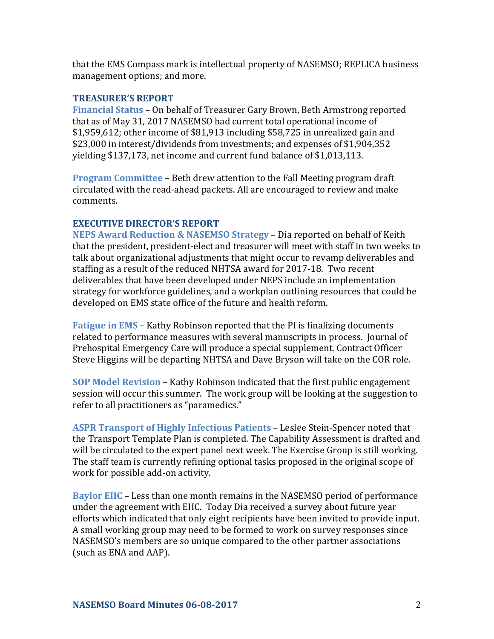that the EMS Compass mark is intellectual property of NASEMSO; REPLICA business management options; and more.

#### **TREASURER'S REPORT**

**Financial Status** – On behalf of Treasurer Gary Brown, Beth Armstrong reported that as of May 31, 2017 NASEMSO had current total operational income of  $$1,959,612$ ; other income of  $$81,913$  including  $$58,725$  in unrealized gain and \$23,000 in interest/dividends from investments; and expenses of \$1,904,352 yielding  $$137,173$ , net income and current fund balance of  $$1,013,113$ .

**Program Committee** – Beth drew attention to the Fall Meeting program draft circulated with the read-ahead packets. All are encouraged to review and make comments.

### **EXECUTIVE DIRECTOR'S REPORT**

**NEPS Award Reduction & NASEMSO Strategy – Dia reported on behalf of Keith** that the president, president-elect and treasurer will meet with staff in two weeks to talk about organizational adjustments that might occur to revamp deliverables and staffing as a result of the reduced NHTSA award for 2017-18. Two recent deliverables that have been developed under NEPS include an implementation strategy for workforce guidelines, and a workplan outlining resources that could be developed on EMS state office of the future and health reform.

**Fatigue in EMS** – Kathy Robinson reported that the PI is finalizing documents related to performance measures with several manuscripts in process. Journal of Prehospital Emergency Care will produce a special supplement. Contract Officer Steve Higgins will be departing NHTSA and Dave Bryson will take on the COR role.

**SOP Model Revision – Kathy Robinson indicated that the first public engagement** session will occur this summer. The work group will be looking at the suggestion to refer to all practitioners as "paramedics."

**ASPR Transport of Highly Infectious Patients – Leslee Stein-Spencer noted that** the Transport Template Plan is completed. The Capability Assessment is drafted and will be circulated to the expert panel next week. The Exercise Group is still working. The staff team is currently refining optional tasks proposed in the original scope of work for possible add-on activity.

**Baylor EIIC** – Less than one month remains in the NASEMSO period of performance under the agreement with EIIC. Today Dia received a survey about future year efforts which indicated that only eight recipients have been invited to provide input. A small working group may need to be formed to work on survey responses since NASEMSO's members are so unique compared to the other partner associations (such as ENA and AAP).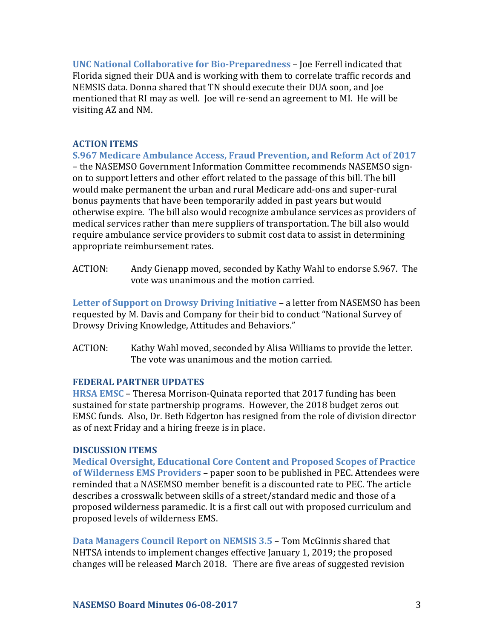**UNC National Collaborative for Bio-Preparedness – Joe Ferrell indicated that** Florida signed their DUA and is working with them to correlate traffic records and NEMSIS data. Donna shared that TN should execute their DUA soon, and Joe mentioned that RI may as well. Joe will re-send an agreement to MI. He will be visiting AZ and NM.

### **ACTION ITEMS**

**S.967 Medicare Ambulance Access, Fraud Prevention, and Reform Act of 2017** - the NASEMSO Government Information Committee recommends NASEMSO signon to support letters and other effort related to the passage of this bill. The bill would make permanent the urban and rural Medicare add-ons and super-rural bonus payments that have been temporarily added in past years but would otherwise expire. The bill also would recognize ambulance services as providers of medical services rather than mere suppliers of transportation. The bill also would require ambulance service providers to submit cost data to assist in determining appropriate reimbursement rates.

ACTION: Andy Gienapp moved, seconded by Kathy Wahl to endorse S.967. The vote was unanimous and the motion carried.

**Letter of Support on Drowsy Driving Initiative** – a letter from NASEMSO has been requested by M. Davis and Company for their bid to conduct "National Survey of Drowsy Driving Knowledge, Attitudes and Behaviors."

ACTION: Kathy Wahl moved, seconded by Alisa Williams to provide the letter. The vote was unanimous and the motion carried.

### **FEDERAL PARTNER UPDATES**

**HRSA EMSC** – Theresa Morrison-Quinata reported that 2017 funding has been sustained for state partnership programs. However, the 2018 budget zeros out EMSC funds. Also, Dr. Beth Edgerton has resigned from the role of division director as of next Friday and a hiring freeze is in place.

### **DISCUSSION ITEMS**

**Medical Oversight, Educational Core Content and Proposed Scopes of Practice of Wilderness EMS Providers** – paper soon to be published in PEC. Attendees were reminded that a NASEMSO member benefit is a discounted rate to PEC. The article describes a crosswalk between skills of a street/standard medic and those of a proposed wilderness paramedic. It is a first call out with proposed curriculum and proposed levels of wilderness EMS.

**Data Managers Council Report on NEMSIS 3.5 – Tom McGinnis shared that** NHTSA intends to implement changes effective January 1, 2019; the proposed changes will be released March 2018. There are five areas of suggested revision